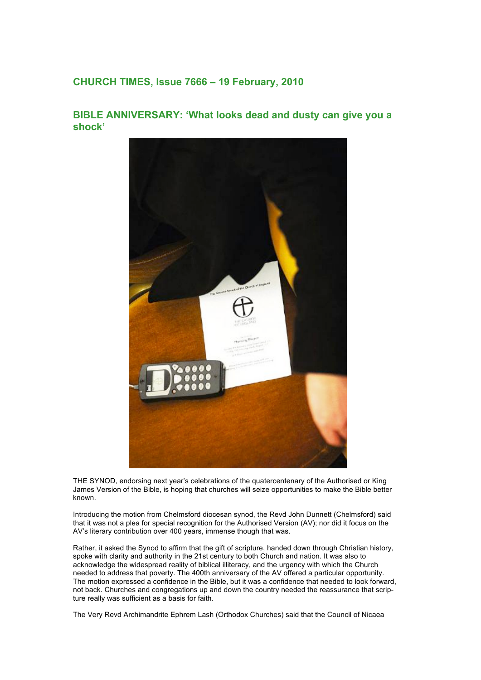## **CHURCH TIMES, Issue 7666 – 19 February, 2010**

## **BIBLE ANNIVERSARY: 'What looks dead and dusty can give you a shock'**



THE SYNOD, endorsing next year's celebrations of the quatercentenary of the Authorised or King James Version of the Bible, is hoping that churches will seize opportunities to make the Bible better known.

Introducing the motion from Chelmsford diocesan synod, the Revd John Dunnett (Chelmsford) said that it was not a plea for special recognition for the Authorised Version (AV); nor did it focus on the AV's literary contribution over 400 years, immense though that was.

Rather, it asked the Synod to affirm that the gift of scripture, handed down through Christian history, spoke with clarity and authority in the 21st century to both Church and nation. It was also to acknowledge the widespread reality of biblical illiteracy, and the urgency with which the Church needed to address that poverty. The 400th anniversary of the AV offered a particular opportunity. The motion expressed a confidence in the Bible, but it was a confidence that needed to look forward, not back. Churches and congregations up and down the country needed the reassurance that scripture really was sufficient as a basis for faith.

The Very Revd Archimandrite Ephrem Lash (Orthodox Churches) said that the Council of Nicaea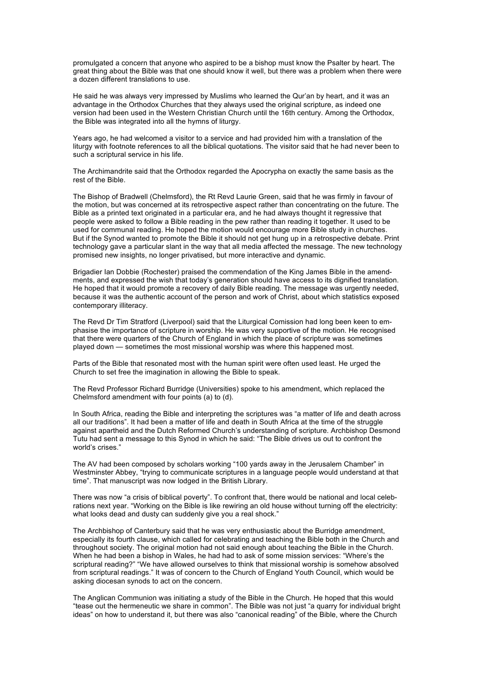promulgated a concern that anyone who aspired to be a bishop must know the Psalter by heart. The great thing about the Bible was that one should know it well, but there was a problem when there were a dozen different translations to use.

He said he was always very impressed by Muslims who learned the Qur'an by heart, and it was an advantage in the Orthodox Churches that they always used the original scripture, as indeed one version had been used in the Western Christian Church until the 16th century. Among the Orthodox, the Bible was integrated into all the hymns of liturgy.

Years ago, he had welcomed a visitor to a service and had provided him with a translation of the liturgy with footnote references to all the biblical quotations. The visitor said that he had never been to such a scriptural service in his life.

The Archimandrite said that the Orthodox regarded the Apocrypha on exactly the same basis as the rest of the Bible.

The Bishop of Bradwell (Chelmsford), the Rt Revd Laurie Green, said that he was firmly in favour of the motion, but was concerned at its retrospective aspect rather than concentrating on the future. The Bible as a printed text originated in a particular era, and he had always thought it regressive that people were asked to follow a Bible reading in the pew rather than reading it together. It used to be used for communal reading. He hoped the motion would encourage more Bible study in churches. But if the Synod wanted to promote the Bible it should not get hung up in a retrospective debate. Print technology gave a particular slant in the way that all media affected the message. The new technology promised new insights, no longer privatised, but more interactive and dynamic.

Brigadier Ian Dobbie (Rochester) praised the commendation of the King James Bible in the amendments, and expressed the wish that today's generation should have access to its dignified translation. He hoped that it would promote a recovery of daily Bible reading. The message was urgently needed, because it was the authentic account of the person and work of Christ, about which statistics exposed contemporary illiteracy.

The Revd Dr Tim Stratford (Liverpool) said that the Liturgical Comission had long been keen to emphasise the importance of scripture in worship. He was very supportive of the motion. He recognised that there were quarters of the Church of England in which the place of scripture was sometimes played down — sometimes the most missional worship was where this happened most.

Parts of the Bible that resonated most with the human spirit were often used least. He urged the Church to set free the imagination in allowing the Bible to speak.

The Revd Professor Richard Burridge (Universities) spoke to his amendment, which replaced the Chelmsford amendment with four points (a) to (d).

In South Africa, reading the Bible and interpreting the scriptures was "a matter of life and death across all our traditions". It had been a matter of life and death in South Africa at the time of the struggle against apartheid and the Dutch Reformed Church's understanding of scripture. Archbishop Desmond Tutu had sent a message to this Synod in which he said: "The Bible drives us out to confront the world's crises."

The AV had been composed by scholars working "100 yards away in the Jerusalem Chamber" in Westminster Abbey, "trying to communicate scriptures in a language people would understand at that time". That manuscript was now lodged in the British Library.

There was now "a crisis of biblical poverty". To confront that, there would be national and local celebrations next year. "Working on the Bible is like rewiring an old house without turning off the electricity: what looks dead and dusty can suddenly give you a real shock."

The Archbishop of Canterbury said that he was very enthusiastic about the Burridge amendment, especially its fourth clause, which called for celebrating and teaching the Bible both in the Church and throughout society. The original motion had not said enough about teaching the Bible in the Church. When he had been a bishop in Wales, he had had to ask of some mission services: "Where's the scriptural reading?" "We have allowed ourselves to think that missional worship is somehow absolved from scriptural readings." It was of concern to the Church of England Youth Council, which would be asking diocesan synods to act on the concern.

The Anglican Communion was initiating a study of the Bible in the Church. He hoped that this would "tease out the hermeneutic we share in common". The Bible was not just "a quarry for individual bright ideas" on how to understand it, but there was also "canonical reading" of the Bible, where the Church